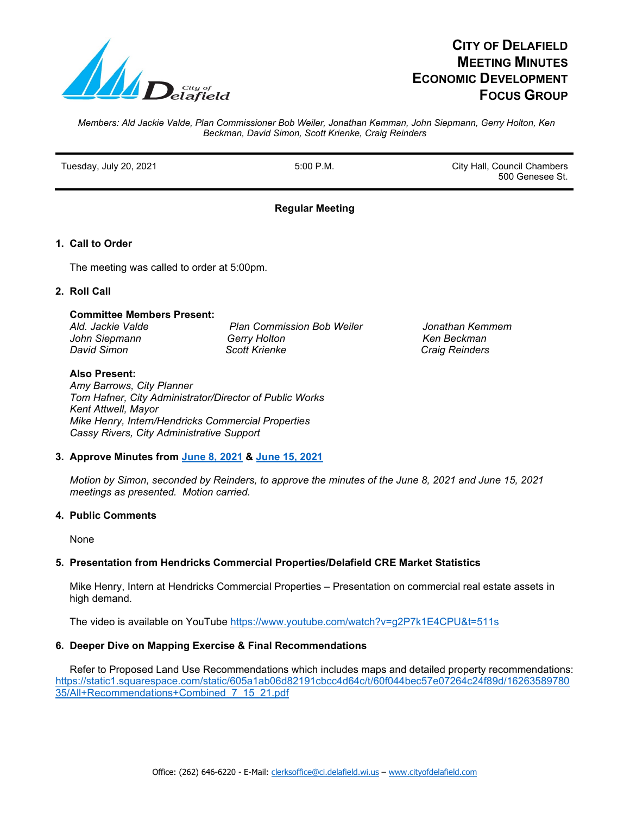

# **CITY OF DELAFIELD MEETING MINUTES ECONOMIC DEVELOPMENT FOCUS GROUP**

*Members: Ald Jackie Valde, Plan Commissioner Bob Weiler, Jonathan Kemman, John Siepmann, Gerry Holton, Ken Beckman, David Simon, Scott Krienke, Craig Reinders*

Tuesday, July 20, 2021 **Fig. 2018** 5:00 P.M. **City Hall, Council Chambers** 500 Genesee St.

# **Regular Meeting**

# **1. Call to Order**

The meeting was called to order at 5:00pm.

## **2. Roll Call**

## **Committee Members Present:**

 *Ald. Jackie Valde Plan Commission Bob Weiler Jonathan Kemmem John Siepmann Gerry Holton Ken Beckman David Simon* **Craig Reinders** Scott Krienke Community Craig Reinders

#### **Also Present:**

 *Amy Barrows, City Planner Tom Hafner, City Administrator/Director of Public Works Kent Attwell, Mayor Mike Henry, Intern/Hendricks Commercial Properties Cassy Rivers, City Administrative Support* 

#### **3. Approve Minutes from June 8, 2021 & June 15, 2021**

 *Motion by Simon, seconded by Reinders, to approve the minutes of the June 8, 2021 and June 15, 2021 meetings as presented. Motion carried.*

#### **4. Public Comments**

None

# **5. Presentation from Hendricks Commercial Properties/Delafield CRE Market Statistics**

Mike Henry, Intern at Hendricks Commercial Properties – Presentation on commercial real estate assets in high demand.

The video is available on YouTube<https://www.youtube.com/watch?v=g2P7k1E4CPU&t=511s>

# **6. Deeper Dive on Mapping Exercise & Final Recommendations**

 Refer to Proposed Land Use Recommendations which includes maps and detailed property recommendations: [https://static1.squarespace.com/static/605a1ab06d82191cbcc4d64c/t/60f044bec57e07264c24f89d/16263589780](https://static1.squarespace.com/static/605a1ab06d82191cbcc4d64c/t/60f044bec57e07264c24f89d/1626358978035/All+Recommendations+Combined_7_15_21.pdf) [35/All+Recommendations+Combined\\_7\\_15\\_21.pdf](https://static1.squarespace.com/static/605a1ab06d82191cbcc4d64c/t/60f044bec57e07264c24f89d/1626358978035/All+Recommendations+Combined_7_15_21.pdf)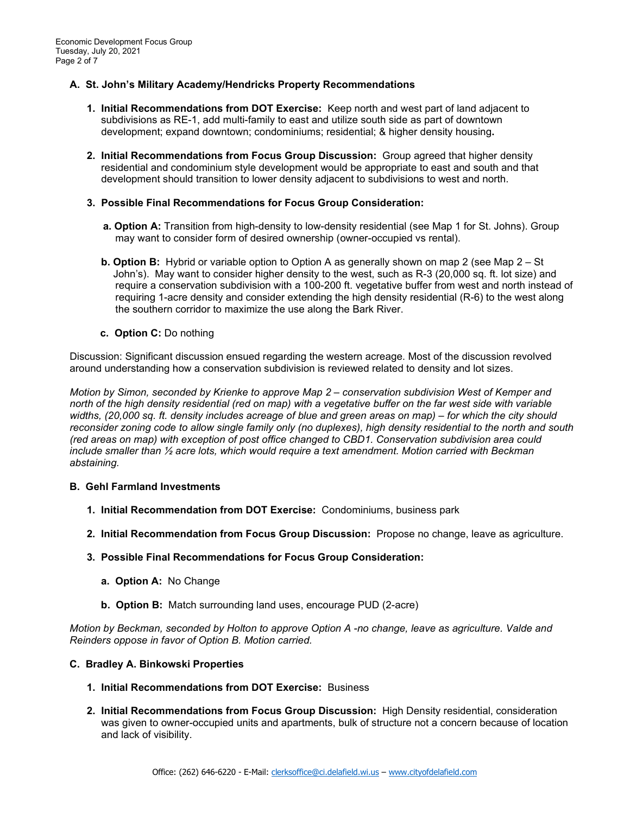## **A. St. John's Military Academy/Hendricks Property Recommendations**

- **1. Initial Recommendations from DOT Exercise:** Keep north and west part of land adjacent to subdivisions as RE-1, add multi-family to east and utilize south side as part of downtown development; expand downtown; condominiums; residential; & higher density housing**.**
- **2. Initial Recommendations from Focus Group Discussion:** Group agreed that higher density residential and condominium style development would be appropriate to east and south and that development should transition to lower density adjacent to subdivisions to west and north.
- **3. Possible Final Recommendations for Focus Group Consideration:**
	- **a. Option A:** Transition from high-density to low-density residential (see Map 1 for St. Johns). Group may want to consider form of desired ownership (owner-occupied vs rental).
	- **b. Option B:** Hybrid or variable option to Option A as generally shown on map 2 (see Map 2 St John's). May want to consider higher density to the west, such as R-3 (20,000 sq. ft. lot size) and require a conservation subdivision with a 100-200 ft. vegetative buffer from west and north instead of requiring 1-acre density and consider extending the high density residential (R-6) to the west along the southern corridor to maximize the use along the Bark River.
	- **c. Option C:** Do nothing

 Discussion: Significant discussion ensued regarding the western acreage. Most of the discussion revolved around understanding how a conservation subdivision is reviewed related to density and lot sizes.

*Motion by Simon, seconded by Krienke to approve Map 2 – conservation subdivision West of Kemper and north of the high density residential (red on map) with a vegetative buffer on the far west side with variable widths, (20,000 sq. ft. density includes acreage of blue and green areas on map) – for which the city should reconsider zoning code to allow single family only (no duplexes), high density residential to the north and south (red areas on map) with exception of post office changed to CBD1. Conservation subdivision area could include smaller than ½ acre lots, which would require a text amendment. Motion carried with Beckman abstaining.*

#### **B. Gehl Farmland Investments**

- **1. Initial Recommendation from DOT Exercise:** Condominiums, business park
- **2. Initial Recommendation from Focus Group Discussion:** Propose no change, leave as agriculture.
- **3. Possible Final Recommendations for Focus Group Consideration:**
	- **a. Option A:** No Change
	- **b. Option B:** Match surrounding land uses, encourage PUD (2-acre)

 *Motion by Beckman, seconded by Holton to approve Option A -no change, leave as agriculture. Valde and Reinders oppose in favor of Option B. Motion carried.*

#### **C. Bradley A. Binkowski Properties**

- **1. Initial Recommendations from DOT Exercise:** Business
- **2. Initial Recommendations from Focus Group Discussion:** High Density residential, consideration was given to owner-occupied units and apartments, bulk of structure not a concern because of location and lack of visibility.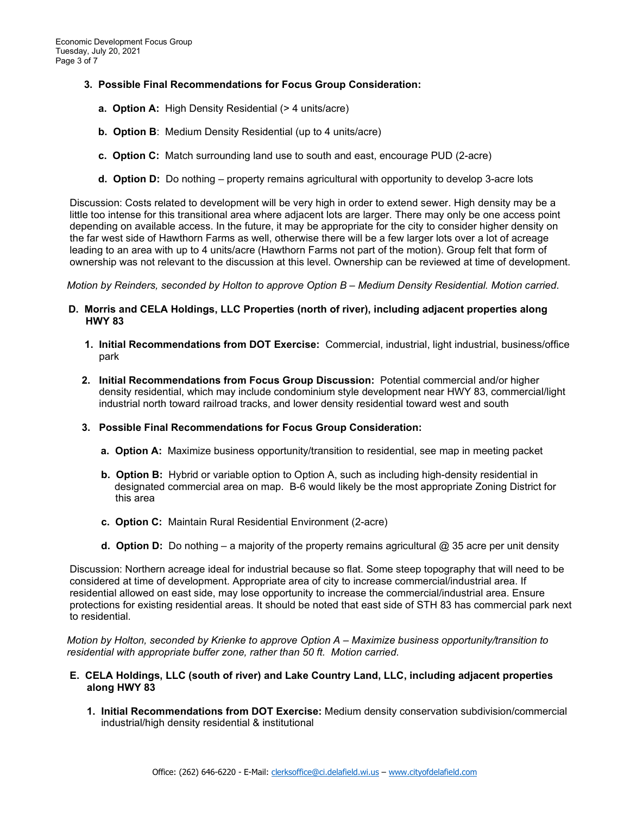- **3. Possible Final Recommendations for Focus Group Consideration:**
	- **a. Option A:** High Density Residential (> 4 units/acre)
	- **b. Option B**: Medium Density Residential (up to 4 units/acre)
	- **c. Option C:** Match surrounding land use to south and east, encourage PUD (2-acre)
	- **d. Option D:** Do nothing property remains agricultural with opportunity to develop 3-acre lots

 Discussion: Costs related to development will be very high in order to extend sewer. High density may be a little too intense for this transitional area where adjacent lots are larger. There may only be one access point depending on available access. In the future, it may be appropriate for the city to consider higher density on the far west side of Hawthorn Farms as well, otherwise there will be a few larger lots over a lot of acreage leading to an area with up to 4 units/acre (Hawthorn Farms not part of the motion). Group felt that form of ownership was not relevant to the discussion at this level. Ownership can be reviewed at time of development.

 *Motion by Reinders, seconded by Holton to approve Option B – Medium Density Residential. Motion carried*.

- **D. Morris and CELA Holdings, LLC Properties (north of river), including adjacent properties along HWY 83**
	- **1. Initial Recommendations from DOT Exercise:** Commercial, industrial, light industrial, business/officepark
	- **2. Initial Recommendations from Focus Group Discussion:** Potential commercial and/or higher density residential, which may include condominium style development near HWY 83, commercial/light industrial north toward railroad tracks, and lower density residential toward west and south
	- **3. Possible Final Recommendations for Focus Group Consideration:**
		- **a. Option A:** Maximize business opportunity/transition to residential, see map in meeting packet
		- **b. Option B:** Hybrid or variable option to Option A, such as including high-density residential in designated commercial area on map. B-6 would likely be the most appropriate Zoning District for this area
		- **c. Option C:** Maintain Rural Residential Environment (2-acre)
		- **d. Option D:** Do nothing a majority of the property remains agricultural @ 35 acre per unit density

 Discussion: Northern acreage ideal for industrial because so flat. Some steep topography that will need to be considered at time of development. Appropriate area of city to increase commercial/industrial area. If residential allowed on east side, may lose opportunity to increase the commercial/industrial area. Ensure protections for existing residential areas. It should be noted that east side of STH 83 has commercial park next to residential.

 *Motion by Holton, seconded by Krienke to approve Option A – Maximize business opportunity/transition to residential with appropriate buffer zone, rather than 50 ft. Motion carried*.

#### **E. CELA Holdings, LLC (south of river) and Lake Country Land, LLC, including adjacent properties along HWY 83**

 **1. Initial Recommendations from DOT Exercise:** Medium density conservation subdivision/commercial industrial/high density residential & institutional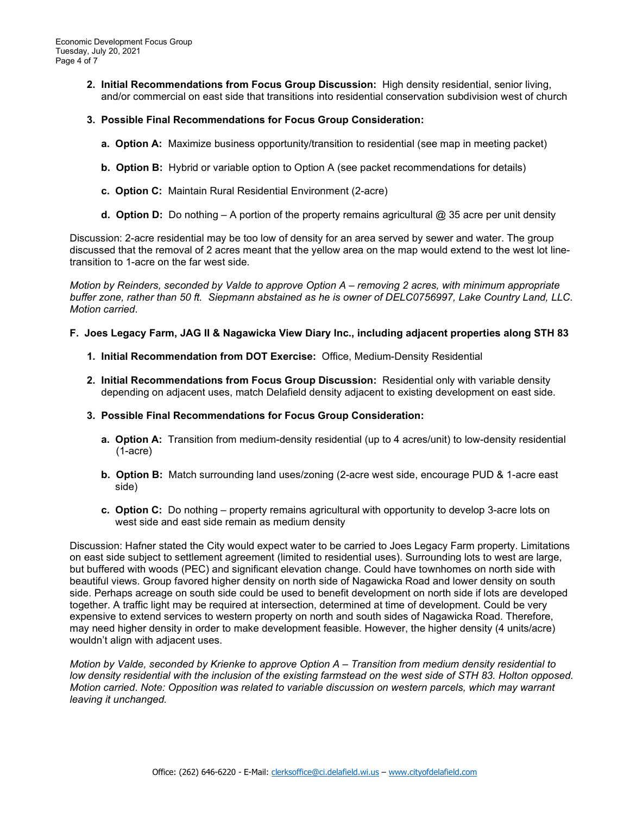- **2. Initial Recommendations from Focus Group Discussion:** High density residential, senior living, and/or commercial on east side that transitions into residential conservation subdivision west of church
- **3. Possible Final Recommendations for Focus Group Consideration:** 
	- **a. Option A:** Maximize business opportunity/transition to residential (see map in meeting packet)
	- **b. Option B:** Hybrid or variable option to Option A (see packet recommendations for details)
	- **c. Option C:** Maintain Rural Residential Environment (2-acre)
	- **d. Option D:** Do nothing A portion of the property remains agricultural @ 35 acre per unit density

 Discussion: 2-acre residential may be too low of density for an area served by sewer and water. The group discussed that the removal of 2 acres meant that the yellow area on the map would extend to the west lot line transition to 1-acre on the far west side.

 *Motion by Reinders, seconded by Valde to approve Option A – removing 2 acres, with minimum appropriate buffer zone, rather than 50 ft. Siepmann abstained as he is owner of DELC0756997, Lake Country Land, LLC. Motion carried*.

#### **F. Joes Legacy Farm, JAG II & Nagawicka View Diary Inc., including adjacent properties along STH 83**

- **1. Initial Recommendation from DOT Exercise:** Office, Medium-Density Residential
- **2. Initial Recommendations from Focus Group Discussion:** Residential only with variable density depending on adjacent uses, match Delafield density adjacent to existing development on east side.
- **3. Possible Final Recommendations for Focus Group Consideration:**
	- **a. Option A:** Transition from medium-density residential (up to 4 acres/unit) to low-density residential (1-acre)
	- **b. Option B:** Match surrounding land uses/zoning (2-acre west side, encourage PUD & 1-acre east side)
	- **c. Option C:** Do nothing property remains agricultural with opportunity to develop 3-acre lots on west side and east side remain as medium density

 Discussion: Hafner stated the City would expect water to be carried to Joes Legacy Farm property. Limitations on east side subject to settlement agreement (limited to residential uses). Surrounding lots to west are large, but buffered with woods (PEC) and significant elevation change. Could have townhomes on north side with beautiful views. Group favored higher density on north side of Nagawicka Road and lower density on south side. Perhaps acreage on south side could be used to benefit development on north side if lots are developed together. A traffic light may be required at intersection, determined at time of development. Could be very expensive to extend services to western property on north and south sides of Nagawicka Road. Therefore, may need higher density in order to make development feasible. However, the higher density (4 units/acre) wouldn't align with adjacent uses.

 *Motion by Valde, seconded by Krienke to approve Option A – Transition from medium density residential to low density residential with the inclusion of the existing farmstead on the west side of STH 83. Holton opposed. Motion carried*. *Note: Opposition was related to variable discussion on western parcels, which may warrant leaving it unchanged.*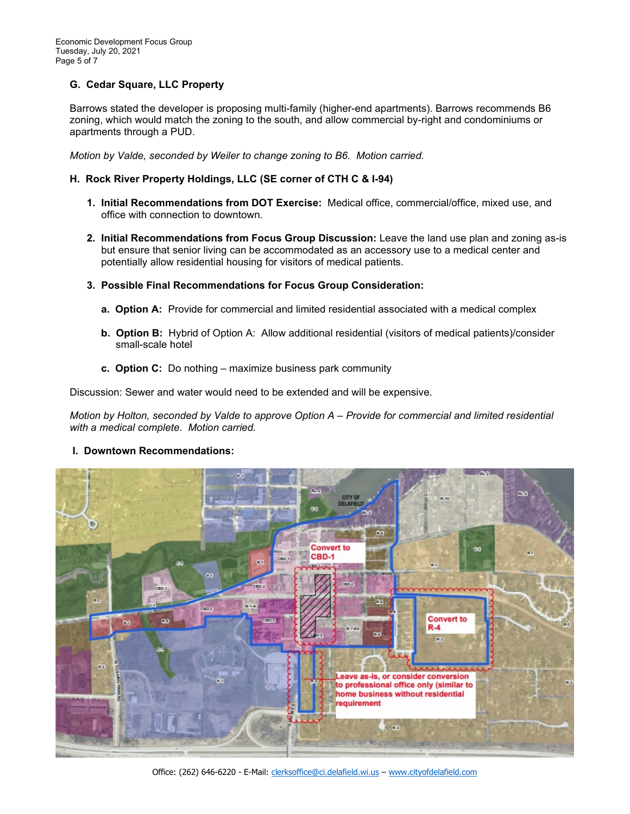# **G. Cedar Square, LLC Property**

 Barrows stated the developer is proposing multi-family (higher-end apartments). Barrows recommends B6 zoning, which would match the zoning to the south, and allow commercial by-right and condominiums or apartments through a PUD.

 *Motion by Valde, seconded by Weiler to change zoning to B6. Motion carried.*

## **H. Rock River Property Holdings, LLC (SE corner of CTH C & I-94)**

- **1. Initial Recommendations from DOT Exercise:** Medical office, commercial/office, mixed use, and office with connection to downtown.
- **2. Initial Recommendations from Focus Group Discussion:** Leave the land use plan and zoning as-is but ensure that senior living can be accommodated as an accessory use to a medical center and potentially allow residential housing for visitors of medical patients.
- **3. Possible Final Recommendations for Focus Group Consideration:** 
	- **a. Option A:** Provide for commercial and limited residential associated with a medical complex
	- **b. Option B:** Hybrid of Option A: Allow additional residential (visitors of medical patients)/consider small-scale hotel
	- **c. Option C:** Do nothing maximize business park community

Discussion: Sewer and water would need to be extended and will be expensive.

 *Motion by Holton, seconded by Valde to approve Option A – Provide for commercial and limited residential with a medical complete. Motion carried.*

#### **I. Downtown Recommendations:**



Office: (262) 646-6220 - E-Mail: [clerksoffice@ci.delafield.wi.us](mailto:clerksoffice@ci.delafield.wi.us) – [www.cityofdelafield.com](http://www.cityofdelafield.com/)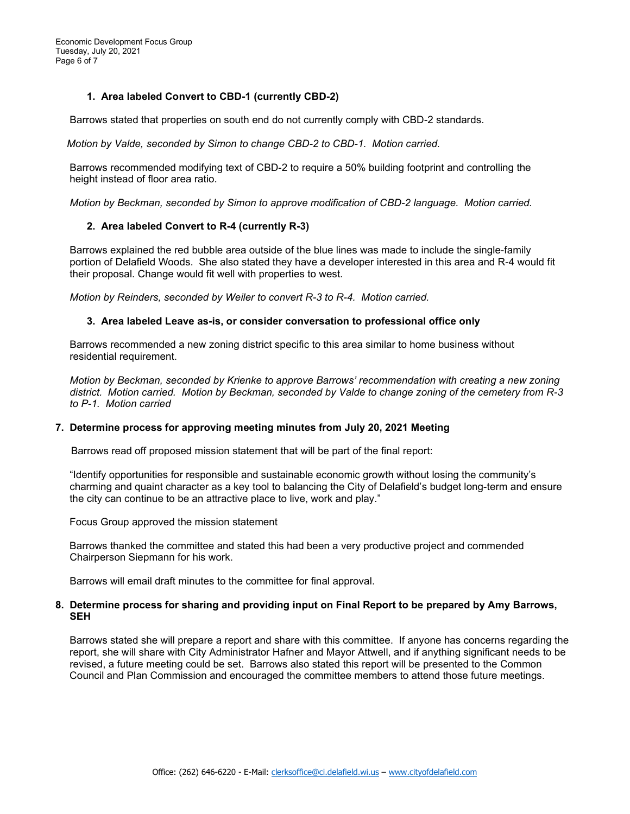Economic Development Focus Group Tuesday, July 20, 2021 Page 6 of 7

## **1. Area labeled Convert to CBD-1 (currently CBD-2)**

Barrows stated that properties on south end do not currently comply with CBD-2 standards.

 *Motion by Valde, seconded by Simon to change CBD-2 to CBD-1. Motion carried.*

 Barrows recommended modifying text of CBD-2 to require a 50% building footprint and controlling the height instead of floor area ratio.

 *Motion by Beckman, seconded by Simon to approve modification of CBD-2 language. Motion carried.*

#### **2. Area labeled Convert to R-4 (currently R-3)**

Barrows explained the red bubble area outside of the blue lines was made to include the single-family portion of Delafield Woods. She also stated they have a developer interested in this area and R-4 would fit their proposal. Change would fit well with properties to west.

 *Motion by Reinders, seconded by Weiler to convert R-3 to R-4. Motion carried.*

#### **3. Area labeled Leave as-is, or consider conversation to professional office only**

 Barrows recommended a new zoning district specific to this area similar to home business without residential requirement.

 *Motion by Beckman, seconded by Krienke to approve Barrows' recommendation with creating a new zoning district. Motion carried. Motion by Beckman, seconded by Valde to change zoning of the cemetery from R-3 to P-1. Motion carried*

#### **7. Determine process for approving meeting minutes from July 20, 2021 Meeting**

Barrows read off proposed mission statement that will be part of the final report:

 "Identify opportunities for responsible and sustainable economic growth without losing the community's charming and quaint character as a key tool to balancing the City of Delafield's budget long-term and ensure the city can continue to be an attractive place to live, work and play."

Focus Group approved the mission statement

 Barrows thanked the committee and stated this had been a very productive project and commended Chairperson Siepmann for his work.

Barrows will email draft minutes to the committee for final approval.

#### **8. Determine process for sharing and providing input on Final Report to be prepared by Amy Barrows, SEH**

Barrows stated she will prepare a report and share with this committee. If anyone has concerns regarding the report, she will share with City Administrator Hafner and Mayor Attwell, and if anything significant needs to be revised, a future meeting could be set. Barrows also stated this report will be presented to the Common Council and Plan Commission and encouraged the committee members to attend those future meetings.